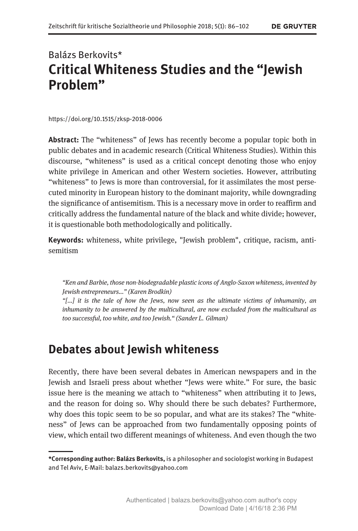# Balázs Berkovits\* Critical Whiteness Studies and the "Jewish Problem"

https://doi.org/10.1515/zksp-2018-0006

Abstract: The "whiteness" of Jews has recently become a popular topic both in public debates and in academic research (Critical Whiteness Studies). Within this discourse, "whiteness" is used as a critical concept denoting those who enjoy white privilege in American and other Western societies. However, attributing "whiteness" to Jews is more than controversial, for it assimilates the most persecuted minority in European history to the dominant majority, while downgrading the significance of antisemitism. This is a necessary move in order to reaffirm and critically address the fundamental nature of the black and white divide; however, it is questionable both methodologically and politically.

Keywords: whiteness, white privilege, "Jewish problem", critique, racism, antisemitism

"Ken and Barbie, those non-biodegradable plastic icons of Anglo-Saxon whiteness, invented by Jewish entrepreneurs..." (Karen Brodkin)

"[...] it is the tale of how the Jews, now seen as the ultimate victims of inhumanity, an inhumanity to be answered by the multicultural, are now excluded from the multicultural as too successful, too white, and too Jewish." (Sander L. Gilman)

## Debates about Jewish whiteness

Recently, there have been several debates in American newspapers and in the Jewish and Israeli press about whether "Jews were white." For sure, the basic issue here is the meaning we attach to "whiteness" when attributing it to Jews, and the reason for doing so. Why should there be such debates? Furthermore, why does this topic seem to be so popular, and what are its stakes? The "whiteness" of Jews can be approached from two fundamentally opposing points of view, which entail two different meanings of whiteness. And even though the two

<sup>\*</sup>Corresponding author: Balázs Berkovits, is a philosopher and sociologist working in Budapest and Tel Aviv, E-Mail: balazs.berkovits@yahoo.com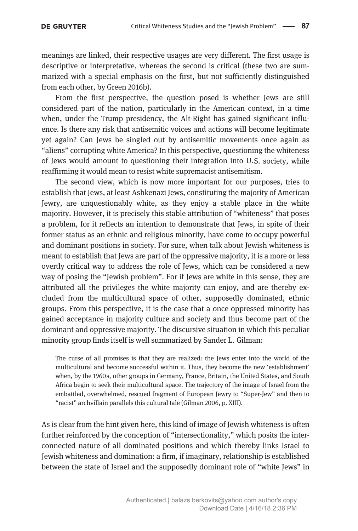meanings are linked, their respective usages are very different. The first usage is descriptive or interpretative, whereas the second is critical (these two are summarized with a special emphasis on the first, but not sufficiently distinguished from each other, by Green 2016b).

From the first perspective, the question posed is whether Jews are still considered part of the nation, particularly in the American context, in a time when, under the Trump presidency, the Alt-Right has gained significant influence. Is there any risk that antisemitic voices and actions will become legitimate yet again? Can Jews be singled out by antisemitic movements once again as "aliens" corrupting white America? In this perspective, questioning the whiteness of Jews would amount to questioning their integration into U.S. society, while reaffirming it would mean to resist white supremacist antisemitism.

The second view, which is now more important for our purposes, tries to establish that Jews, at least Ashkenazi Jews, constituting the majority of American Jewry, are unquestionably white, as they enjoy a stable place in the white majority. However, it is precisely this stable attribution of "whiteness" that poses a problem, for it reflects an intention to demonstrate that Jews, in spite of their former status as an ethnic and religious minority, have come to occupy powerful and dominant positions in society. For sure, when talk about Jewish whiteness is meant to establish that Jews are part of the oppressive majority, it is a more or less overtly critical way to address the role of Jews, which can be considered a new way of posing the "Jewish problem". For if Jews are white in this sense, they are attributed all the privileges the white majority can enjoy, and are thereby excluded from the multicultural space of other, supposedly dominated, ethnic groups. From this perspective, it is the case that a once oppressed minority has gained acceptance in majority culture and society and thus become part of the dominant and oppressive majority. The discursive situation in which this peculiar minority group finds itself is well summarized by Sander L. Gilman:

The curse of all promises is that they are realized: the Jews enter into the world of the multicultural and become successful within it. Thus, they become the new 'establishment' when, by the 1960s, other groups in Germany, France, Britain, the United States, and South Africa begin to seek their multicultural space. The trajectory of the image of Israel from the embattled, overwhelmed, rescued fragment of European Jewry to "Super-Jew" and then to "racist" archvillain parallels this cultural tale (Gilman 2006, p. XIII).

As is clear from the hint given here, this kind of image of Jewish whiteness is often further reinforced by the conception of "intersectionality," which posits the interconnected nature of all dominated positions and which thereby links Israel to Jewish whiteness and domination: a firm, if imaginary, relationship is established between the state of Israel and the supposedly dominant role of "white Jews" in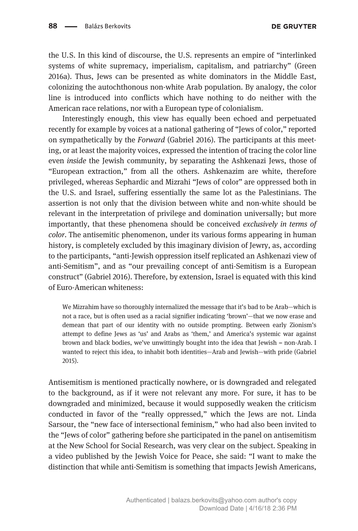the U.S. In this kind of discourse, the U.S. represents an empire of "interlinked systems of white supremacy, imperialism, capitalism, and patriarchy" (Green 2016a). Thus, Jews can be presented as white dominators in the Middle East, colonizing the autochthonous non-white Arab population. By analogy, the color line is introduced into conflicts which have nothing to do neither with the American race relations, nor with a European type of colonialism.

Interestingly enough, this view has equally been echoed and perpetuated recently for example by voices at a national gathering of "Jews of color," reported on sympathetically by the Forward (Gabriel 2016). The participants at this meeting, or at least the majority voices, expressed the intention of tracing the color line even inside the Jewish community, by separating the Ashkenazi Jews, those of "European extraction," from all the others. Ashkenazim are white, therefore privileged, whereas Sephardic and Mizrahi "Jews of color" are oppressed both in the U.S. and Israel, suffering essentially the same lot as the Palestinians. The assertion is not only that the division between white and non-white should be relevant in the interpretation of privilege and domination universally; but more importantly, that these phenomena should be conceived exclusively in terms of color. The antisemitic phenomenon, under its various forms appearing in human history, is completely excluded by this imaginary division of Jewry, as, according to the participants, "anti-Jewish oppression itself replicated an Ashkenazi view of anti-Semitism", and as "our prevailing concept of anti-Semitism is a European construct" (Gabriel 2016). Therefore, by extension, Israel is equated with this kind of Euro-American whiteness:

We Mizrahim have so thoroughly internalized the message that it's bad to be Arab—which is not a race, but is often used as a racial signifier indicating 'brown'—that we now erase and demean that part of our identity with no outside prompting. Between early Zionism's attempt to define Jews as 'us' and Arabs as 'them,' and America's systemic war against brown and black bodies, we've unwittingly bought into the idea that Jewish = non-Arab. I wanted to reject this idea, to inhabit both identities—Arab and Jewish—with pride (Gabriel 2015).

Antisemitism is mentioned practically nowhere, or is downgraded and relegated to the background, as if it were not relevant any more. For sure, it has to be downgraded and minimized, because it would supposedly weaken the criticism conducted in favor of the "really oppressed," which the Jews are not. Linda Sarsour, the "new face of intersectional feminism," who had also been invited to the "Jews of color" gathering before she participated in the panel on antisemitism at the New School for Social Research, was very clear on the subject. Speaking in a video published by the Jewish Voice for Peace, she said: "I want to make the distinction that while anti-Semitism is something that impacts Jewish Americans,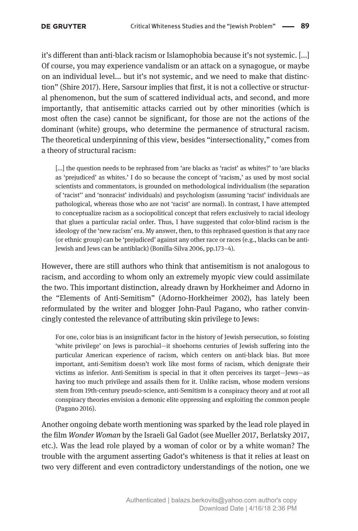it's different than anti-black racism or Islamophobia because it's not systemic. [...] Of course, you may experience vandalism or an attack on a synagogue, or maybe on an individual level... but it's not systemic, and we need to make that distinction" (Shire 2017). Here, Sarsour implies that first, it is not a collective or structural phenomenon, but the sum of scattered individual acts, and second, and more importantly, that antisemitic attacks carried out by other minorities (which is most often the case) cannot be significant, for those are not the actions of the dominant (white) groups, who determine the permanence of structural racism. The theoretical underpinning of this view, besides "intersectionality," comes from a theory of structural racism:

[...] the question needs to be rephrased from 'are blacks as 'racist' as whites?' to 'are blacks as 'prejudiced' as whites.' I do so because the concept of 'racism,' as used by most social scientists and commentators, is grounded on methodological individualism (the separation of 'racist'' and 'nonracist' individuals) and psychologism (assuming 'racist' individuals are pathological, whereas those who are not 'racist' are normal). In contrast, I have attempted to conceptualize racism as a sociopolitical concept that refers exclusively to racial ideology that glues a particular racial order. Thus, I have suggested that color-blind racism is the ideology of the 'new racism' era. My answer, then, to this rephrased question is that any race (or ethnic group) can be 'prejudiced' against any other race or races (e.g., blacks can be anti-Jewish and Jews can be antiblack) (Bonilla-Silva 2006, pp.173–4).

However, there are still authors who think that antisemitism is not analogous to racism, and according to whom only an extremely myopic view could assimilate the two. This important distinction, already drawn by Horkheimer and Adorno in the "Elements of Anti-Semitism" (Adorno-Horkheimer 2002), has lately been reformulated by the writer and blogger John-Paul Pagano, who rather convincingly contested the relevance of attributing skin privilege to Jews:

For one, color bias is an insignificant factor in the history of Jewish persecution, so foisting 'white privilege' on Jews is parochial—it shoehorns centuries of Jewish suffering into the particular American experience of racism, which centers on anti-black bias. But more important, anti-Semitism doesn't work like most forms of racism, which denigrate their victims as inferior. Anti-Semitism is special in that it often perceives its target—Jews—as having too much privilege and assails them for it. Unlike racism, whose modern versions stem from 19th-century pseudo-science, anti-Semitism is a conspiracy theory and at root all conspiracy theories envision a demonic elite oppressing and exploiting the common people (Pagano 2016).

Another ongoing debate worth mentioning was sparked by the lead role played in the film Wonder Woman by the Israeli Gal Gadot (see Mueller 2017, Berlatsky 2017, etc.). Was the lead role played by a woman of color or by a white woman? The trouble with the argument asserting Gadot's whiteness is that it relies at least on two very different and even contradictory understandings of the notion, one we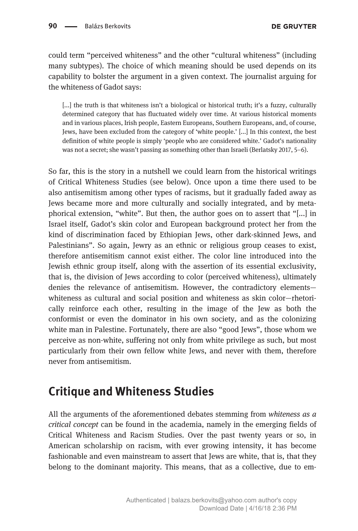could term "perceived whiteness" and the other "cultural whiteness" (including many subtypes). The choice of which meaning should be used depends on its capability to bolster the argument in a given context. The journalist arguing for the whiteness of Gadot says:

[...] the truth is that whiteness isn't a biological or historical truth; it's a fuzzy, culturally determined category that has fluctuated widely over time. At various historical moments and in various places, Irish people, Eastern Europeans, Southern Europeans, and, of course, Jews, have been excluded from the category of 'white people.' [...] In this context, the best definition of white people is simply 'people who are considered white.' Gadot's nationality was not a secret; she wasn't passing as something other than Israeli (Berlatsky 2017, 5–6).

So far, this is the story in a nutshell we could learn from the historical writings of Critical Whiteness Studies (see below). Once upon a time there used to be also antisemitism among other types of racisms, but it gradually faded away as Jews became more and more culturally and socially integrated, and by metaphorical extension, "white". But then, the author goes on to assert that "[...] in Israel itself, Gadot's skin color and European background protect her from the kind of discrimination faced by Ethiopian Jews, other dark-skinned Jews, and Palestinians". So again, Jewry as an ethnic or religious group ceases to exist, therefore antisemitism cannot exist either. The color line introduced into the Jewish ethnic group itself, along with the assertion of its essential exclusivity, that is, the division of Jews according to color (perceived whiteness), ultimately denies the relevance of antisemitism. However, the contradictory elements whiteness as cultural and social position and whiteness as skin color—rhetorically reinforce each other, resulting in the image of the Jew as both the conformist or even the dominator in his own society, and as the colonizing white man in Palestine. Fortunately, there are also "good Jews", those whom we perceive as non-white, suffering not only from white privilege as such, but most particularly from their own fellow white Jews, and never with them, therefore never from antisemitism.

## Critique and Whiteness Studies

All the arguments of the aforementioned debates stemming from whiteness as a critical concept can be found in the academia, namely in the emerging fields of Critical Whiteness and Racism Studies. Over the past twenty years or so, in American scholarship on racism, with ever growing intensity, it has become fashionable and even mainstream to assert that Jews are white, that is, that they belong to the dominant majority. This means, that as a collective, due to em-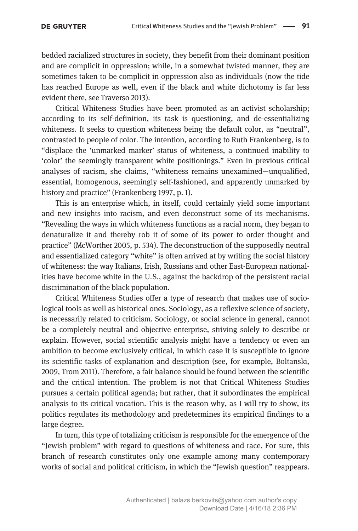#### **DE GRUYTER**

bedded racialized structures in society, they benefit from their dominant position and are complicit in oppression; while, in a somewhat twisted manner, they are sometimes taken to be complicit in oppression also as individuals (now the tide has reached Europe as well, even if the black and white dichotomy is far less evident there, see Traverso 2013).

Critical Whiteness Studies have been promoted as an activist scholarship; according to its self-definition, its task is questioning, and de-essentializing whiteness. It seeks to question whiteness being the default color, as "neutral", contrasted to people of color. The intention, according to Ruth Frankenberg, is to "displace the 'unmarked marker' status of whiteness, a continued inability to 'color' the seemingly transparent white positionings." Even in previous critical analyses of racism, she claims, "whiteness remains unexamined—unqualified, essential, homogenous, seemingly self-fashioned, and apparently unmarked by history and practice" (Frankenberg 1997, p. 1).

This is an enterprise which, in itself, could certainly yield some important and new insights into racism, and even deconstruct some of its mechanisms. "Revealing the ways in which whiteness functions as a racial norm, they began to denaturalize it and thereby rob it of some of its power to order thought and practice" (McWorther 2005, p. 534). The deconstruction of the supposedly neutral and essentialized category "white" is often arrived at by writing the social history of whiteness: the way Italians, Irish, Russians and other East-European nationalities have become white in the U.S., against the backdrop of the persistent racial discrimination of the black population.

Critical Whiteness Studies offer a type of research that makes use of sociological tools as well as historical ones. Sociology, as a reflexive science of society, is necessarily related to criticism. Sociology, or social science in general, cannot be a completely neutral and objective enterprise, striving solely to describe or explain. However, social scientific analysis might have a tendency or even an ambition to become exclusively critical, in which case it is susceptible to ignore its scientific tasks of explanation and description (see, for example, Boltanski, 2009, Trom 2011). Therefore, a fair balance should be found between the scientific and the critical intention. The problem is not that Critical Whiteness Studies pursues a certain political agenda; but rather, that it subordinates the empirical analysis to its critical vocation. This is the reason why, as I will try to show, its politics regulates its methodology and predetermines its empirical findings to a large degree.

In turn, this type of totalizing criticism is responsible for the emergence of the "Jewish problem" with regard to questions of whiteness and race. For sure, this branch of research constitutes only one example among many contemporary works of social and political criticism, in which the "Jewish question" reappears.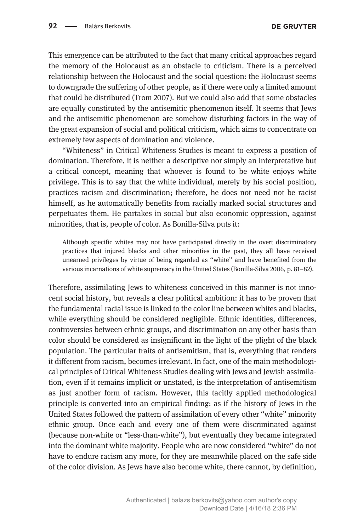This emergence can be attributed to the fact that many critical approaches regard the memory of the Holocaust as an obstacle to criticism. There is a perceived relationship between the Holocaust and the social question: the Holocaust seems to downgrade the suffering of other people, as if there were only a limited amount that could be distributed (Trom 2007). But we could also add that some obstacles are equally constituted by the antisemitic phenomenon itself. It seems that Jews and the antisemitic phenomenon are somehow disturbing factors in the way of the great expansion of social and political criticism, which aims to concentrate on extremely few aspects of domination and violence.

"Whiteness" in Critical Whiteness Studies is meant to express a position of domination. Therefore, it is neither a descriptive nor simply an interpretative but a critical concept, meaning that whoever is found to be white enjoys white privilege. This is to say that the white individual, merely by his social position, practices racism and discrimination; therefore, he does not need not be racist himself, as he automatically benefits from racially marked social structures and perpetuates them. He partakes in social but also economic oppression, against minorities, that is, people of color. As Bonilla-Silva puts it:

Although specific whites may not have participated directly in the overt discriminatory practices that injured blacks and other minorities in the past, they all have received unearned privileges by virtue of being regarded as ''white'' and have benefited from the various incarnations of white supremacy in the United States (Bonilla-Silva 2006, p. 81–82).

Therefore, assimilating Jews to whiteness conceived in this manner is not innocent social history, but reveals a clear political ambition: it has to be proven that the fundamental racial issue is linked to the color line between whites and blacks, while everything should be considered negligible. Ethnic identities, differences, controversies between ethnic groups, and discrimination on any other basis than color should be considered as insignificant in the light of the plight of the black population. The particular traits of antisemitism, that is, everything that renders it different from racism, becomes irrelevant. In fact, one of the main methodological principles of Critical Whiteness Studies dealing with Jews and Jewish assimilation, even if it remains implicit or unstated, is the interpretation of antisemitism as just another form of racism. However, this tacitly applied methodological principle is converted into an empirical finding: as if the history of Jews in the United States followed the pattern of assimilation of every other "white" minority ethnic group. Once each and every one of them were discriminated against (because non-white or "less-than-white"), but eventually they became integrated into the dominant white majority. People who are now considered "white" do not have to endure racism any more, for they are meanwhile placed on the safe side of the color division. As Jews have also become white, there cannot, by definition,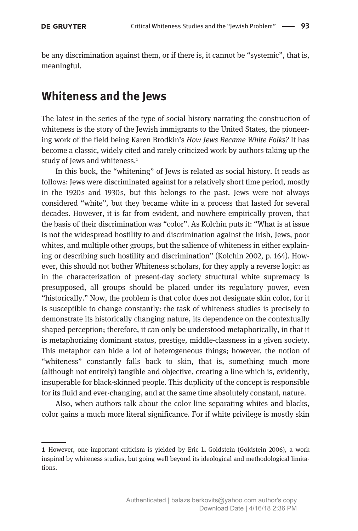be any discrimination against them, or if there is, it cannot be "systemic", that is, meaningful.

### Whiteness and the Jews

The latest in the series of the type of social history narrating the construction of whiteness is the story of the Jewish immigrants to the United States, the pioneering work of the field being Karen Brodkin's How Jews Became White Folks? It has become a classic, widely cited and rarely criticized work by authors taking up the study of Jews and whiteness.<sup>1</sup>

In this book, the "whitening" of Jews is related as social history. It reads as follows: Jews were discriminated against for a relatively short time period, mostly in the 1920s and 1930s, but this belongs to the past. Jews were not always considered "white", but they became white in a process that lasted for several decades. However, it is far from evident, and nowhere empirically proven, that the basis of their discrimination was "color". As Kolchin puts it: "What is at issue is not the widespread hostility to and discrimination against the Irish, Jews, poor whites, and multiple other groups, but the salience of whiteness in either explaining or describing such hostility and discrimination" (Kolchin 2002, p. 164). However, this should not bother Whiteness scholars, for they apply a reverse logic: as in the characterization of present-day society structural white supremacy is presupposed, all groups should be placed under its regulatory power, even "historically." Now, the problem is that color does not designate skin color, for it is susceptible to change constantly: the task of whiteness studies is precisely to demonstrate its historically changing nature, its dependence on the contextually shaped perception; therefore, it can only be understood metaphorically, in that it is metaphorizing dominant status, prestige, middle-classness in a given society. This metaphor can hide a lot of heterogeneous things; however, the notion of "whiteness" constantly falls back to skin, that is, something much more (although not entirely) tangible and objective, creating a line which is, evidently, insuperable for black-skinned people. This duplicity of the concept is responsible for its fluid and ever-changing, and at the same time absolutely constant, nature.

Also, when authors talk about the color line separating whites and blacks, color gains a much more literal significance. For if white privilege is mostly skin

<sup>1</sup> However, one important criticism is yielded by Eric L. Goldstein (Goldstein 2006), a work inspired by whiteness studies, but going well beyond its ideological and methodological limitations.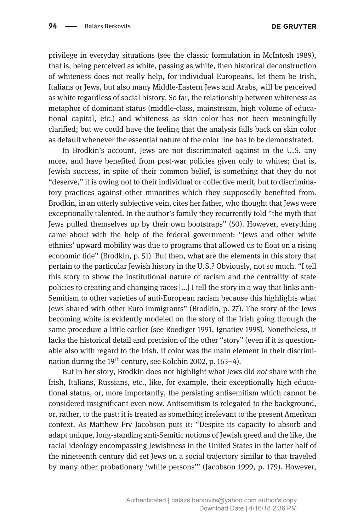privilege in everyday situations (see the classic formulation in McIntosh 1989), that is, being perceived as white, passing as white, then historical deconstruction of whiteness does not really help, for individual Europeans, let them be Irish, Italians or Jews, but also many Middle-Eastern Jews and Arabs, will be perceived as white regardless of social history. So far, the relationship between whiteness as metaphor of dominant status (middle-class, mainstream, high volume of educational capital, etc.) and whiteness as skin color has not been meaningfully clarified; but we could have the feeling that the analysis falls back on skin color as default whenever the essential nature of the color line has to be demonstrated.

In Brodkin's account. Jews are not discriminated against in the U.S. any more, and have benefited from post-war policies given only to whites; that is, Jewish success, in spite of their common belief, is something that they do not "deserve," it is owing not to their individual or collective merit, but to discriminatory practices against other minorities which they supposedly benefited from. Brodkin, in an utterly subjective vein, cites her father, who thought that Jews were exceptionally talented. In the author's family they recurrently told "the myth that Jews pulled themselves up by their own bootstraps" (50). However, everything came about with the help of the federal government: "Jews and other white ethnics' upward mobility was due to programs that allowed us to float on a rising economic tide" (Brodkin, p. 51). But then, what are the elements in this story that pertain to the particular Jewish history in the U.S.? Obviously, not so much. "I tell this story to show the institutional nature of racism and the centrality of state policies to creating and changing races [...] I tell the story in a way that links anti-Semitism to other varieties of anti-European racism because this highlights what Jews shared with other Euro-immigrants" (Brodkin, p. 27). The story of the Jews becoming white is evidently modeled on the story of the Irish going through the same procedure a little earlier (see Roediger 1991, Ignatiev 1995). Nonetheless, it lacks the historical detail and precision of the other "story" (even if it is questionable also with regard to the Irish, if color was the main element in their discrimination during the 19<sup>th</sup> century, see Kolchin 2002, p. 163-4).

But in her story, Brodkin does not highlight what Jews did not share with the Irish, Italians, Russians, etc., like, for example, their exceptionally high educational status, or, more importantly, the persisting antisemitism which cannot be considered insignificant even now. Antisemitism is relegated to the background, or, rather, to the past: it is treated as something irrelevant to the present American context. As Matthew Fry Jacobson puts it: "Despite its capacity to absorb and adapt unique, long-standing anti-Semitic notions of Jewish greed and the like, the racial ideology encompassing Jewishness in the United States in the latter half of the nineteenth century did set Jews on a social trajectory similar to that traveled by many other probationary 'white persons'" (Jacobson 1999, p. 179). However,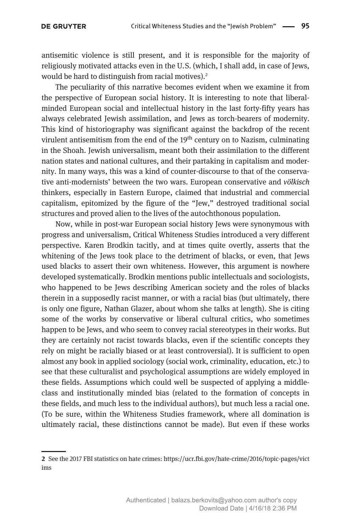antisemitic violence is still present, and it is responsible for the majority of religiously motivated attacks even in the U.S. (which, I shall add, in case of Jews, would be hard to distinguish from racial motives).<sup>2</sup>

The peculiarity of this narrative becomes evident when we examine it from the perspective of European social history. It is interesting to note that liberalminded European social and intellectual history in the last forty-fifty years has always celebrated Jewish assimilation, and Jews as torch-bearers of modernity. This kind of historiography was significant against the backdrop of the recent virulent antisemitism from the end of the 19<sup>th</sup> century on to Nazism, culminating in the Shoah. Jewish universalism, meant both their assimilation to the different nation states and national cultures, and their partaking in capitalism and modernity. In many ways, this was a kind of counter-discourse to that of the conservative anti-modernists' between the two wars. European conservative and völkisch thinkers, especially in Eastern Europe, claimed that industrial and commercial capitalism, epitomized by the figure of the "Jew," destroyed traditional social structures and proved alien to the lives of the autochthonous population.

Now, while in post-war European social history Jews were synonymous with progress and universalism, Critical Whiteness Studies introduced a very different perspective. Karen Brodkin tacitly, and at times quite overtly, asserts that the whitening of the Jews took place to the detriment of blacks, or even, that Jews used blacks to assert their own whiteness. However, this argument is nowhere developed systematically. Brodkin mentions public intellectuals and sociologists, who happened to be Jews describing American society and the roles of blacks therein in a supposedly racist manner, or with a racial bias (but ultimately, there is only one figure, Nathan Glazer, about whom she talks at length). She is citing some of the works by conservative or liberal cultural critics, who sometimes happen to be Jews, and who seem to convey racial stereotypes in their works. But they are certainly not racist towards blacks, even if the scientific concepts they rely on might be racially biased or at least controversial). It is sufficient to open almost any book in applied sociology (social work, criminality, education, etc.) to see that these culturalist and psychological assumptions are widely employed in these fields. Assumptions which could well be suspected of applying a middleclass and institutionally minded bias (related to the formation of concepts in these fields, and much less to the individual authors), but much less a racial one. (To be sure, within the Whiteness Studies framework, where all domination is ultimately racial, these distinctions cannot be made). But even if these works

<sup>2</sup> See the 2017 FBI statistics on hate crimes: https://ucr.fbi.gov/hate-crime/2016/topic-pages/vict ims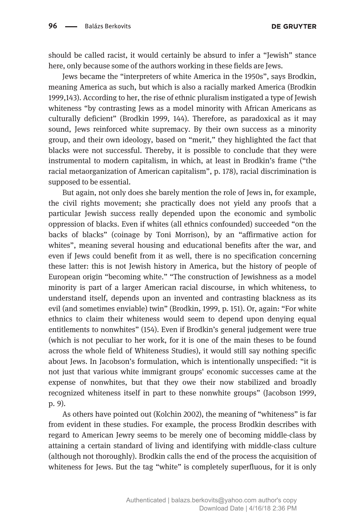should be called racist, it would certainly be absurd to infer a "Jewish" stance here, only because some of the authors working in these fields are Jews.

Jews became the "interpreters of white America in the 1950s", says Brodkin, meaning America as such, but which is also a racially marked America (Brodkin 1999,143). According to her, the rise of ethnic pluralism instigated a type of Jewish whiteness "by contrasting Jews as a model minority with African Americans as culturally deficient" (Brodkin 1999, 144). Therefore, as paradoxical as it may sound, Jews reinforced white supremacy. By their own success as a minority group, and their own ideology, based on "merit," they highlighted the fact that blacks were not successful. Thereby, it is possible to conclude that they were instrumental to modern capitalism, in which, at least in Brodkin's frame ("the racial metaorganization of American capitalism", p. 178), racial discrimination is supposed to be essential.

But again, not only does she barely mention the role of Jews in, for example, the civil rights movement; she practically does not yield any proofs that a particular Jewish success really depended upon the economic and symbolic oppression of blacks. Even if whites (all ethnics confounded) succeeded "on the backs of blacks" (coinage by Toni Morrison), by an "affirmative action for whites", meaning several housing and educational benefits after the war, and even if Jews could benefit from it as well, there is no specification concerning these latter: this is not Jewish history in America, but the history of people of European origin "becoming white." "The construction of Jewishness as a model minority is part of a larger American racial discourse, in which whiteness, to understand itself, depends upon an invented and contrasting blackness as its evil (and sometimes enviable) twin" (Brodkin, 1999, p. 151). Or, again: "For white ethnics to claim their whiteness would seem to depend upon denying equal entitlements to nonwhites" (154). Even if Brodkin's general judgement were true (which is not peculiar to her work, for it is one of the main theses to be found across the whole field of Whiteness Studies), it would still say nothing specific about Jews. In Jacobson's formulation, which is intentionally unspecified: "it is not just that various white immigrant groups' economic successes came at the expense of nonwhites, but that they owe their now stabilized and broadly recognized whiteness itself in part to these nonwhite groups" (Jacobson 1999, p. 9).

As others have pointed out (Kolchin 2002), the meaning of "whiteness" is far from evident in these studies. For example, the process Brodkin describes with regard to American Jewry seems to be merely one of becoming middle-class by attaining a certain standard of living and identifying with middle-class culture (although not thoroughly). Brodkin calls the end of the process the acquisition of whiteness for Jews. But the tag "white" is completely superfluous, for it is only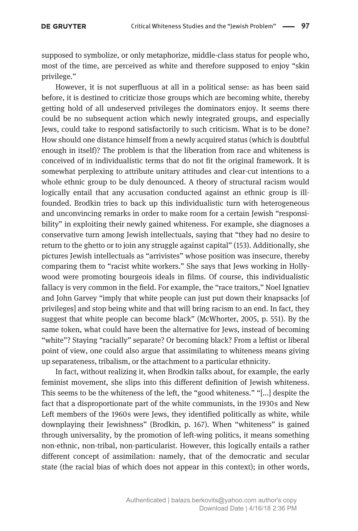supposed to symbolize, or only metaphorize, middle-class status for people who, most of the time, are perceived as white and therefore supposed to enjoy "skin privilege."

However, it is not superfluous at all in a political sense: as has been said before, it is destined to criticize those groups which are becoming white, thereby getting hold of all undeserved privileges the dominators enjoy. It seems there could be no subsequent action which newly integrated groups, and especially Jews, could take to respond satisfactorily to such criticism. What is to be done? How should one distance himself from a newly acquired status (which is doubtful enough in itself)? The problem is that the liberation from race and whiteness is conceived of in individualistic terms that do not fit the original framework. It is somewhat perplexing to attribute unitary attitudes and clear-cut intentions to a whole ethnic group to be duly denounced. A theory of structural racism would logically entail that any accusation conducted against an ethnic group is illfounded. Brodkin tries to back up this individualistic turn with heterogeneous and unconvincing remarks in order to make room for a certain Jewish "responsibility" in exploiting their newly gained whiteness. For example, she diagnoses a conservative turn among Jewish intellectuals, saying that "they had no desire to return to the ghetto or to join any struggle against capital" (153). Additionally, she pictures Jewish intellectuals as "arrivistes" whose position was insecure, thereby comparing them to "racist white workers." She says that Jews working in Hollywood were promoting bourgeois ideals in films. Of course, this individualistic fallacy is very common in the field. For example, the "race traitors," Noel Ignatiev and John Garvey "imply that white people can just put down their knapsacks [of privileges] and stop being white and that will bring racism to an end. In fact, they suggest that white people can become black" (McWhorter, 2005, p. 551). By the same token, what could have been the alternative for Jews, instead of becoming "white"? Staying "racially" separate? Or becoming black? From a leftist or liberal point of view, one could also argue that assimilating to whiteness means giving up separateness, tribalism, or the attachment to a particular ethnicity.

In fact, without realizing it, when Brodkin talks about, for example, the early feminist movement, she slips into this different definition of Jewish whiteness. This seems to be the whiteness of the left, the "good whiteness." "[...] despite the fact that a disproportionate part of the white communists, in the 1930s and New Left members of the 1960s were Jews, they identified politically as white, while downplaying their Jewishness" (Brodkin, p. 167). When "whiteness" is gained through universality, by the promotion of left-wing politics, it means something non-ethnic, non-tribal, non-particularist. However, this logically entails a rather different concept of assimilation: namely, that of the democratic and secular state (the racial bias of which does not appear in this context); in other words,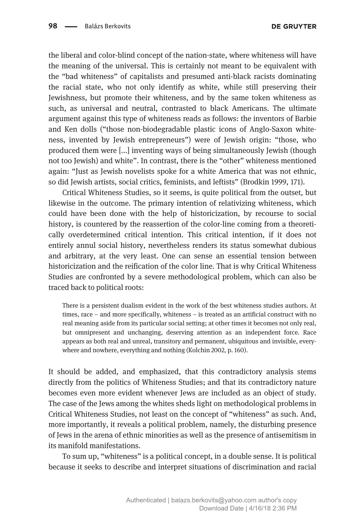the liberal and color-blind concept of the nation-state, where whiteness will have the meaning of the universal. This is certainly not meant to be equivalent with the "bad whiteness" of capitalists and presumed anti-black racists dominating the racial state, who not only identify as white, while still preserving their Jewishness, but promote their whiteness, and by the same token whiteness as such, as universal and neutral, contrasted to black Americans. The ultimate argument against this type of whiteness reads as follows: the inventors of Barbie and Ken dolls ("those non-biodegradable plastic icons of Anglo-Saxon whiteness, invented by Jewish entrepreneurs") were of Jewish origin: "those, who produced them were [...] inventing ways of being simultaneously Jewish (though not too Jewish) and white". In contrast, there is the "other" whiteness mentioned again: "Just as Jewish novelists spoke for a white America that was not ethnic, so did Jewish artists, social critics, feminists, and leftists" (Brodkin 1999, 171).

Critical Whiteness Studies, so it seems, is quite political from the outset, but likewise in the outcome. The primary intention of relativizing whiteness, which could have been done with the help of historicization, by recourse to social history, is countered by the reassertion of the color-line coming from a theoretically overdetermined critical intention. This critical intention, if it does not entirely annul social history, nevertheless renders its status somewhat dubious and arbitrary, at the very least. One can sense an essential tension between historicization and the reification of the color line. That is why Critical Whiteness Studies are confronted by a severe methodological problem, which can also be traced back to political roots:

There is a persistent dualism evident in the work of the best whiteness studies authors. At times, race – and more specifically, whiteness – is treated as an artificial construct with no real meaning aside from its particular social setting; at other times it becomes not only real, but omnipresent and unchanging, deserving attention as an independent force. Race appears as both real and unreal, transitory and permanent, ubiquitous and invisible, everywhere and nowhere, everything and nothing (Kolchin 2002, p. 160).

It should be added, and emphasized, that this contradictory analysis stems directly from the politics of Whiteness Studies; and that its contradictory nature becomes even more evident whenever Jews are included as an object of study. The case of the Jews among the whites sheds light on methodological problems in Critical Whiteness Studies, not least on the concept of "whiteness" as such. And, more importantly, it reveals a political problem, namely, the disturbing presence of Jews in the arena of ethnic minorities as well as the presence of antisemitism in its manifold manifestations.

To sum up, "whiteness" is a political concept, in a double sense. It is political because it seeks to describe and interpret situations of discrimination and racial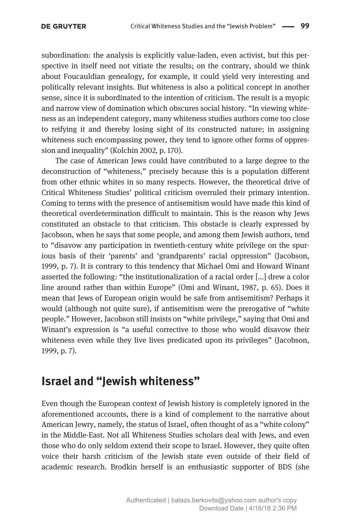subordination: the analysis is explicitly value-laden, even activist, but this perspective in itself need not vitiate the results; on the contrary, should we think about Foucauldian genealogy, for example, it could yield very interesting and politically relevant insights. But whiteness is also a political concept in another sense, since it is subordinated to the intention of criticism. The result is a myopic and narrow view of domination which obscures social history. "In viewing whiteness as an independent category, many whiteness studies authors come too close to reifying it and thereby losing sight of its constructed nature; in assigning whiteness such encompassing power, they tend to ignore other forms of oppression and inequality" (Kolchin 2002, p. 170).

The case of American Jews could have contributed to a large degree to the deconstruction of "whiteness," precisely because this is a population different from other ethnic whites in so many respects. However, the theoretical drive of Critical Whiteness Studies' political criticism overruled their primary intention. Coming to terms with the presence of antisemitism would have made this kind of theoretical overdetermination difficult to maintain. This is the reason why Jews constituted an obstacle to that criticism. This obstacle is clearly expressed by Jacobson, when he says that some people, and among them Jewish authors, tend to "disavow any participation in twentieth-century white privilege on the spurious basis of their 'parents' and 'grandparents' racial oppression" (Jacobson, 1999, p. 7). It is contrary to this tendency that Michael Omi and Howard Winant asserted the following: "the institutionalization of a racial order [...] drew a color line around rather than within Europe" (Omi and Winant, 1987, p. 65). Does it mean that Jews of European origin would be safe from antisemitism? Perhaps it would (although not quite sure), if antisemitism were the prerogative of "white people." However, Jacobson still insists on "white privilege," saying that Omi and Winant's expression is "a useful corrective to those who would disavow their whiteness even while they live lives predicated upon its privileges" (Jacobson, 1999, p. 7).

## Israel and "Jewish whiteness"

Even though the European context of Jewish history is completely ignored in the aforementioned accounts, there is a kind of complement to the narrative about American Jewry, namely, the status of Israel, often thought of as a "white colony" in the Middle-East. Not all Whiteness Studies scholars deal with Jews, and even those who do only seldom extend their scope to Israel. However, they quite often voice their harsh criticism of the Jewish state even outside of their field of academic research. Brodkin herself is an enthusiastic supporter of BDS (she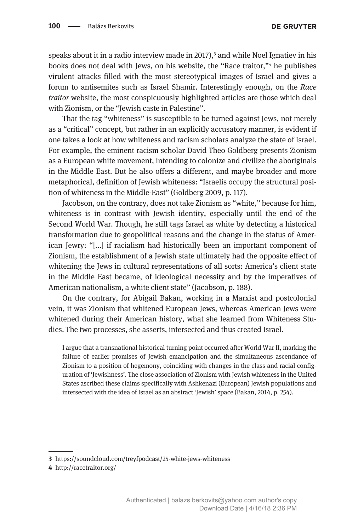speaks about it in a radio interview made in  $2017$ ,  $3$  and while Noel Ignatiev in his books does not deal with Jews, on his website, the "Race traitor,"<sup>4</sup> he publishes virulent attacks filled with the most stereotypical images of Israel and gives a forum to antisemites such as Israel Shamir. Interestingly enough, on the Race traitor website, the most conspicuously highlighted articles are those which deal with Zionism, or the "Jewish caste in Palestine".

That the tag "whiteness" is susceptible to be turned against Jews, not merely as a "critical" concept, but rather in an explicitly accusatory manner, is evident if one takes a look at how whiteness and racism scholars analyze the state of Israel. For example, the eminent racism scholar David Theo Goldberg presents Zionism as a European white movement, intending to colonize and civilize the aboriginals in the Middle East. But he also offers a different, and maybe broader and more metaphorical, definition of Jewish whiteness: "Israelis occupy the structural position of whiteness in the Middle-East" (Goldberg 2009, p. 117).

Jacobson, on the contrary, does not take Zionism as "white," because for him, whiteness is in contrast with Jewish identity, especially until the end of the Second World War. Though, he still tags Israel as white by detecting a historical transformation due to geopolitical reasons and the change in the status of American Jewry: "[...] if racialism had historically been an important component of Zionism, the establishment of a Jewish state ultimately had the opposite effect of whitening the Jews in cultural representations of all sorts: America's client state in the Middle East became, of ideological necessity and by the imperatives of American nationalism, a white client state" (Jacobson, p. 188).

On the contrary, for Abigail Bakan, working in a Marxist and postcolonial vein, it was Zionism that whitened European Jews, whereas American Jews were whitened during their American history, what she learned from Whiteness Studies. The two processes, she asserts, intersected and thus created Israel.

I argue that a transnational historical turning point occurred after World War II, marking the failure of earlier promises of Jewish emancipation and the simultaneous ascendance of Zionism to a position of hegemony, coinciding with changes in the class and racial configuration of 'Jewishness'. The close association of Zionism with Jewish whiteness in the United States ascribed these claims specifically with Ashkenazi (European) Jewish populations and intersected with the idea of Israel as an abstract 'Jewish' space (Bakan, 2014, p. 254).

<sup>3</sup> https://soundcloud.com/treyfpodcast/25-white-jews-whiteness

<sup>4</sup> http://racetraitor.org/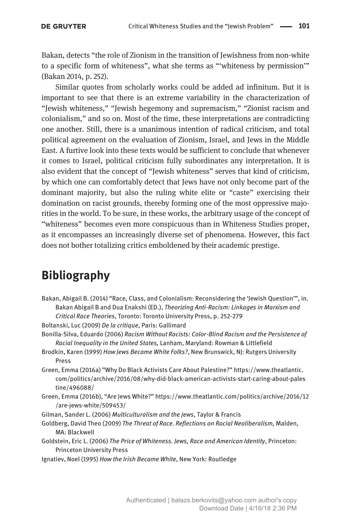Bakan, detects "the role of Zionism in the transition of Jewishness from non-white to a specific form of whiteness", what she terms as "'whiteness by permission'" (Bakan 2014, p. 252).

Similar quotes from scholarly works could be added ad infinitum. But it is important to see that there is an extreme variability in the characterization of "Jewish whiteness," "Jewish hegemony and supremacism," "Zionist racism and colonialism," and so on. Most of the time, these interpretations are contradicting one another. Still, there is a unanimous intention of radical criticism, and total political agreement on the evaluation of Zionism, Israel, and Jews in the Middle East. A furtive look into these texts would be sufficient to conclude that whenever it comes to Israel, political criticism fully subordinates any interpretation. It is also evident that the concept of "Jewish whiteness" serves that kind of criticism, by which one can comfortably detect that Jews have not only become part of the dominant majority, but also the ruling white elite or "caste" exercising their domination on racist grounds, thereby forming one of the most oppressive majorities in the world. To be sure, in these works, the arbitrary usage of the concept of "whiteness" becomes even more conspicuous than in Whiteness Studies proper, as it encompasses an increasingly diverse set of phenomena. However, this fact does not bother totalizing critics emboldened by their academic prestige.

## Bibliography

Bakan, Abigail B. (2014) "Race, Class, and Colonialism: Reconsidering the 'Jewish Question'", in. Bakan Abigail B and Dua Enakshi (ED.), Theorizing Anti-Racism: Linkages in Marxism and Critical Race Theories, Toronto: Toronto University Press, p. 252-279

Boltanski, Luc (2009) De la critique, Paris: Gallimard

- Bonilla-Silva, Eduardo (2006) Racism Without Racists: Color-Blind Racism and the Persistence of Racial Inequality in the United States, Lanham, Maryland: Rowman & Littlefield
- Brodkin, Karen (1999) How Jews Became White Folks?, New Brunswick, NJ: Rutgers University Press
- Green, Emma (2016a) "Why Do Black Activists Care About Palestine?" https://www.theatlantic. com/politics/archive/2016/08/why-did-black-american-activists-start-caring-about-pales tine/496088/
- Green, Emma (2016b), "Are Jews White?" https://www.theatlantic.com/politics/archive/2016/12 /are-jews-white/509453/
- Gilman, Sander L. (2006) Multiculturalism and the Jews, Taylor & Francis
- Goldberg, David Theo (2009) The Threat of Race. Reflections on Racial Neoliberalism, Malden, MA: Blackwell
- Goldstein, Eric L. (2006) The Price of Whiteness. Jews, Race and American Identity, Princeton: Princeton University Press
- Ignatiev, Noel (1995) How the Irish Became White, New York: Routledge